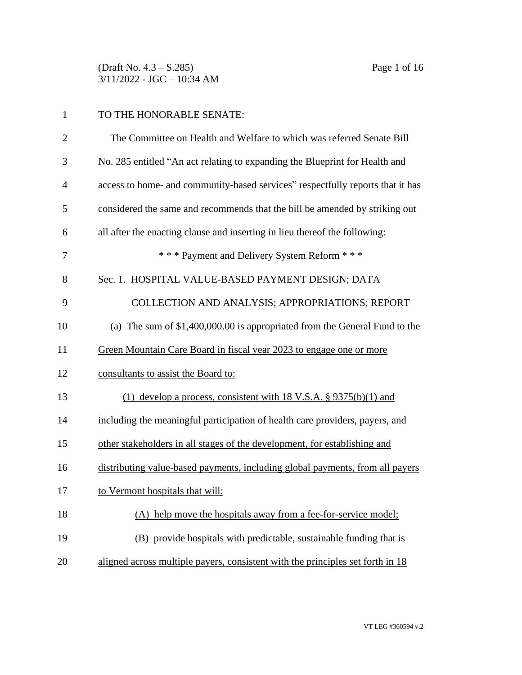(Draft No. 4.3 – S.285) Page 1 of 16 3/11/2022 - JGC – 10:34 AM

# TO THE HONORABLE SENATE:

| $\overline{2}$ | The Committee on Health and Welfare to which was referred Senate Bill          |
|----------------|--------------------------------------------------------------------------------|
| 3              | No. 285 entitled "An act relating to expanding the Blueprint for Health and    |
| $\overline{4}$ | access to home- and community-based services" respectfully reports that it has |
| 5              | considered the same and recommends that the bill be amended by striking out    |
| 6              | all after the enacting clause and inserting in lieu thereof the following:     |
| 7              | *** Payment and Delivery System Reform ***                                     |
| 8              | Sec. 1. HOSPITAL VALUE-BASED PAYMENT DESIGN; DATA                              |
| 9              | COLLECTION AND ANALYSIS; APPROPRIATIONS; REPORT                                |
| 10             | (a) The sum of \$1,400,000.00 is appropriated from the General Fund to the     |
| 11             | Green Mountain Care Board in fiscal year 2023 to engage one or more            |
| 12             | consultants to assist the Board to:                                            |
| 13             | (1) develop a process, consistent with 18 V.S.A. $\S 9375(b)(1)$ and           |
| 14             | including the meaningful participation of health care providers, payers, and   |
| 15             | other stakeholders in all stages of the development, for establishing and      |
| 16             | distributing value-based payments, including global payments, from all payers  |
| 17             | to Vermont hospitals that will:                                                |
| 18             | (A) help move the hospitals away from a fee-for-service model;                 |
| 19             | (B) provide hospitals with predictable, sustainable funding that is            |
| 20             | aligned across multiple payers, consistent with the principles set forth in 18 |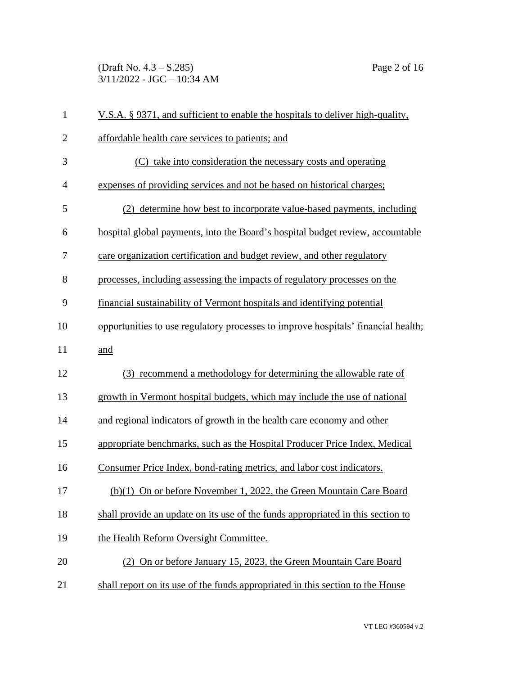(Draft No. 4.3 – S.285) Page 2 of 16 3/11/2022 - JGC – 10:34 AM

| $\mathbf{1}$   | V.S.A. § 9371, and sufficient to enable the hospitals to deliver high-quality,    |
|----------------|-----------------------------------------------------------------------------------|
| $\mathbf{2}$   | affordable health care services to patients; and                                  |
| 3              | (C) take into consideration the necessary costs and operating                     |
| $\overline{4}$ | expenses of providing services and not be based on historical charges;            |
| 5              | (2) determine how best to incorporate value-based payments, including             |
| 6              | hospital global payments, into the Board's hospital budget review, accountable    |
| 7              | care organization certification and budget review, and other regulatory           |
| 8              | processes, including assessing the impacts of regulatory processes on the         |
| 9              | financial sustainability of Vermont hospitals and identifying potential           |
| 10             | opportunities to use regulatory processes to improve hospitals' financial health; |
| 11             | and                                                                               |
| 12             | (3) recommend a methodology for determining the allowable rate of                 |
| 13             | growth in Vermont hospital budgets, which may include the use of national         |
| 14             | and regional indicators of growth in the health care economy and other            |
| 15             | appropriate benchmarks, such as the Hospital Producer Price Index, Medical        |
| 16             | Consumer Price Index, bond-rating metrics, and labor cost indicators.             |
| 17             | (b)(1) On or before November 1, 2022, the Green Mountain Care Board               |
| 18             | shall provide an update on its use of the funds appropriated in this section to   |
| 19             | the Health Reform Oversight Committee.                                            |
| 20             | (2) On or before January 15, 2023, the Green Mountain Care Board                  |
| 21             | shall report on its use of the funds appropriated in this section to the House    |

VT LEG #360594 v.2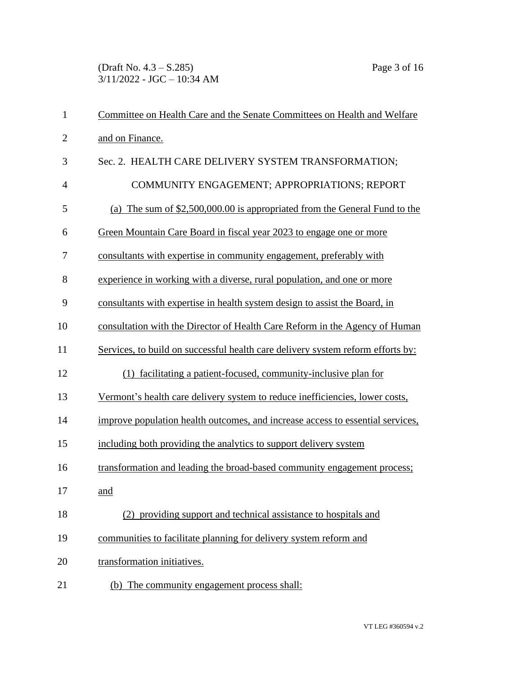(Draft No. 4.3 – S.285) Page 3 of 16 3/11/2022 - JGC – 10:34 AM

| $\mathbf{1}$   | Committee on Health Care and the Senate Committees on Health and Welfare        |
|----------------|---------------------------------------------------------------------------------|
| $\overline{2}$ | and on Finance.                                                                 |
| 3              | Sec. 2. HEALTH CARE DELIVERY SYSTEM TRANSFORMATION;                             |
| $\overline{4}$ | COMMUNITY ENGAGEMENT; APPROPRIATIONS; REPORT                                    |
| 5              | (a) The sum of $$2,500,000.00$ is appropriated from the General Fund to the     |
| 6              | Green Mountain Care Board in fiscal year 2023 to engage one or more             |
| 7              | consultants with expertise in community engagement, preferably with             |
| 8              | experience in working with a diverse, rural population, and one or more         |
| 9              | consultants with expertise in health system design to assist the Board, in      |
| 10             | consultation with the Director of Health Care Reform in the Agency of Human     |
| 11             | Services, to build on successful health care delivery system reform efforts by: |
| 12             | (1) facilitating a patient-focused, community-inclusive plan for                |
| 13             | Vermont's health care delivery system to reduce inefficiencies, lower costs,    |
| 14             | improve population health outcomes, and increase access to essential services,  |
| 15             | including both providing the analytics to support delivery system               |
| 16             | transformation and leading the broad-based community engagement process;        |
| 17             | and                                                                             |
| 18             | (2) providing support and technical assistance to hospitals and                 |
| 19             | communities to facilitate planning for delivery system reform and               |
| 20             | transformation initiatives.                                                     |
| 21             | (b) The community engagement process shall:                                     |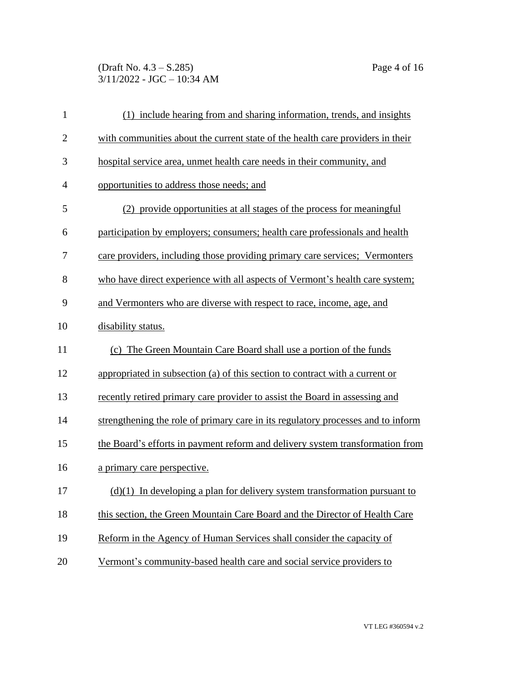(Draft No. 4.3 – S.285) Page 4 of 16 3/11/2022 - JGC – 10:34 AM

| $\mathbf{1}$   | (1) include hearing from and sharing information, trends, and insights           |
|----------------|----------------------------------------------------------------------------------|
| $\overline{2}$ | with communities about the current state of the health care providers in their   |
| 3              | hospital service area, unmet health care needs in their community, and           |
| $\overline{4}$ | opportunities to address those needs; and                                        |
| 5              | (2) provide opportunities at all stages of the process for meaningful            |
| 6              | participation by employers; consumers; health care professionals and health      |
| 7              | care providers, including those providing primary care services; Vermonters      |
| 8              | who have direct experience with all aspects of Vermont's health care system;     |
| 9              | and Vermonters who are diverse with respect to race, income, age, and            |
| 10             | disability status.                                                               |
| 11             | (c) The Green Mountain Care Board shall use a portion of the funds               |
| 12             | appropriated in subsection (a) of this section to contract with a current or     |
| 13             | recently retired primary care provider to assist the Board in assessing and      |
| 14             | strengthening the role of primary care in its regulatory processes and to inform |
| 15             | the Board's efforts in payment reform and delivery system transformation from    |
| 16             | a primary care perspective.                                                      |
| 17             | $(d)(1)$ In developing a plan for delivery system transformation pursuant to     |
| 18             | this section, the Green Mountain Care Board and the Director of Health Care      |
| 19             | Reform in the Agency of Human Services shall consider the capacity of            |
| 20             | Vermont's community-based health care and social service providers to            |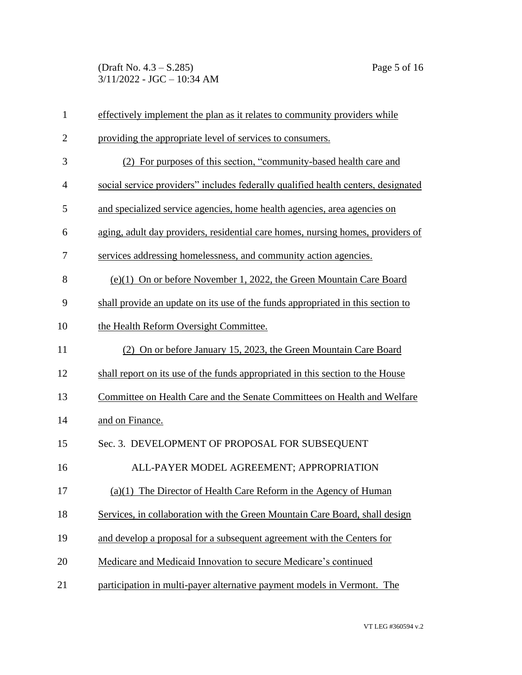(Draft No. 4.3 – S.285) Page 5 of 16 3/11/2022 - JGC – 10:34 AM

| $\mathbf{1}$   | effectively implement the plan as it relates to community providers while         |
|----------------|-----------------------------------------------------------------------------------|
| $\overline{2}$ | providing the appropriate level of services to consumers.                         |
| 3              | (2) For purposes of this section, "community-based health care and                |
| $\overline{4}$ | social service providers" includes federally qualified health centers, designated |
| 5              | and specialized service agencies, home health agencies, area agencies on          |
| 6              | aging, adult day providers, residential care homes, nursing homes, providers of   |
| 7              | services addressing homelessness, and community action agencies.                  |
| 8              | (e)(1) On or before November 1, 2022, the Green Mountain Care Board               |
| 9              | shall provide an update on its use of the funds appropriated in this section to   |
| 10             | the Health Reform Oversight Committee.                                            |
| 11             | (2) On or before January 15, 2023, the Green Mountain Care Board                  |
| 12             | shall report on its use of the funds appropriated in this section to the House    |
| 13             | Committee on Health Care and the Senate Committees on Health and Welfare          |
| 14             | and on Finance.                                                                   |
| 15             | Sec. 3. DEVELOPMENT OF PROPOSAL FOR SUBSEQUENT                                    |
| 16             | ALL-PAYER MODEL AGREEMENT; APPROPRIATION                                          |
| 17             | $(a)(1)$ The Director of Health Care Reform in the Agency of Human                |
| 18             | Services, in collaboration with the Green Mountain Care Board, shall design       |
| 19             | and develop a proposal for a subsequent agreement with the Centers for            |
| 20             | Medicare and Medicaid Innovation to secure Medicare's continued                   |
| 21             | participation in multi-payer alternative payment models in Vermont. The           |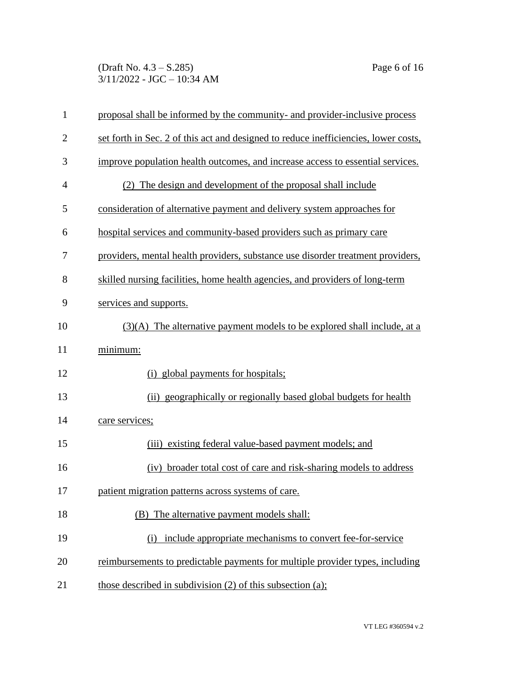(Draft No. 4.3 – S.285) Page 6 of 16 3/11/2022 - JGC – 10:34 AM

| $\mathbf{1}$   | proposal shall be informed by the community- and provider-inclusive process         |
|----------------|-------------------------------------------------------------------------------------|
| $\overline{2}$ | set forth in Sec. 2 of this act and designed to reduce inefficiencies, lower costs, |
| 3              | improve population health outcomes, and increase access to essential services.      |
| $\overline{4}$ | (2) The design and development of the proposal shall include                        |
| 5              | consideration of alternative payment and delivery system approaches for             |
| 6              | hospital services and community-based providers such as primary care                |
| 7              | providers, mental health providers, substance use disorder treatment providers,     |
| 8              | skilled nursing facilities, home health agencies, and providers of long-term        |
| 9              | services and supports.                                                              |
| 10             | $(3)(A)$ The alternative payment models to be explored shall include, at a          |
| 11             | minimum:                                                                            |
| 12             | (i) global payments for hospitals;                                                  |
| 13             | (ii) geographically or regionally based global budgets for health                   |
| 14             | care services;                                                                      |
| 15             | (iii) existing federal value-based payment models; and                              |
| 16             | (iv) broader total cost of care and risk-sharing models to address                  |
| 17             | patient migration patterns across systems of care.                                  |
| 18             | (B) The alternative payment models shall:                                           |
| 19             | include appropriate mechanisms to convert fee-for-service<br>(i)                    |
| 20             | reimbursements to predictable payments for multiple provider types, including       |
| 21             | those described in subdivision $(2)$ of this subsection $(a)$ ;                     |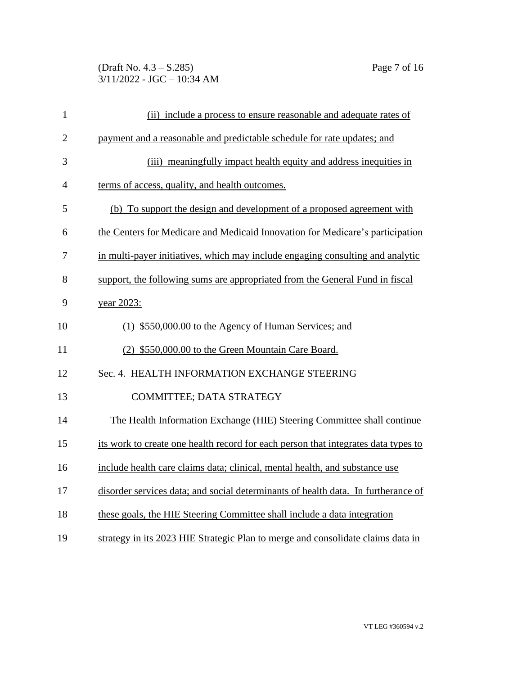(Draft No. 4.3 – S.285) Page 7 of 16 3/11/2022 - JGC – 10:34 AM

| $\mathbf{1}$   | (ii) include a process to ensure reasonable and adequate rates of                  |
|----------------|------------------------------------------------------------------------------------|
| $\overline{2}$ | payment and a reasonable and predictable schedule for rate updates; and            |
| 3              | (iii) meaningfully impact health equity and address inequities in                  |
| 4              | terms of access, quality, and health outcomes.                                     |
| 5              | (b) To support the design and development of a proposed agreement with             |
| 6              | the Centers for Medicare and Medicaid Innovation for Medicare's participation      |
| 7              | in multi-payer initiatives, which may include engaging consulting and analytic     |
| 8              | support, the following sums are appropriated from the General Fund in fiscal       |
| 9              | year 2023:                                                                         |
| 10             | (1) \$550,000.00 to the Agency of Human Services; and                              |
| 11             | (2) \$550,000.00 to the Green Mountain Care Board.                                 |
| 12             | Sec. 4. HEALTH INFORMATION EXCHANGE STEERING                                       |
| 13             | COMMITTEE; DATA STRATEGY                                                           |
| 14             | The Health Information Exchange (HIE) Steering Committee shall continue            |
| 15             | its work to create one health record for each person that integrates data types to |
| 16             | include health care claims data; clinical, mental health, and substance use        |
| 17             | disorder services data; and social determinants of health data. In furtherance of  |
| 18             | these goals, the HIE Steering Committee shall include a data integration           |
| 19             | strategy in its 2023 HIE Strategic Plan to merge and consolidate claims data in    |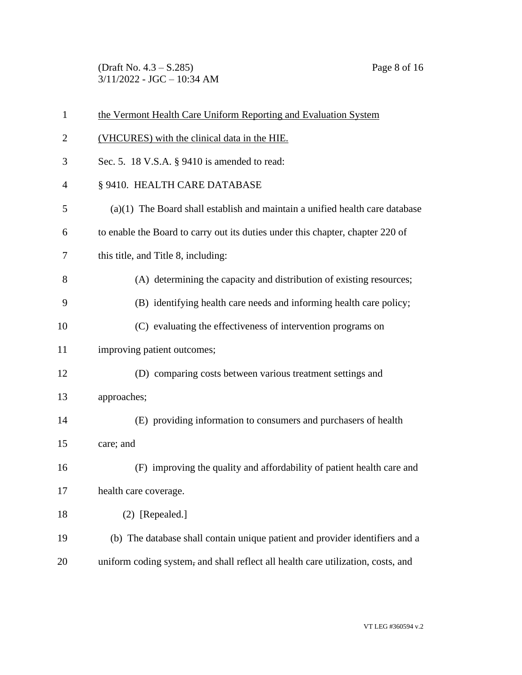(Draft No. 4.3 – S.285) Page 8 of 16 3/11/2022 - JGC – 10:34 AM

| $\mathbf{1}$   | the Vermont Health Care Uniform Reporting and Evaluation System                  |
|----------------|----------------------------------------------------------------------------------|
| $\overline{2}$ | (VHCURES) with the clinical data in the HIE.                                     |
| 3              | Sec. 5. 18 V.S.A. § 9410 is amended to read:                                     |
| $\overline{4}$ | § 9410. HEALTH CARE DATABASE                                                     |
| 5              | $(a)(1)$ The Board shall establish and maintain a unified health care database   |
| 6              | to enable the Board to carry out its duties under this chapter, chapter 220 of   |
| 7              | this title, and Title 8, including:                                              |
| 8              | (A) determining the capacity and distribution of existing resources;             |
| 9              | (B) identifying health care needs and informing health care policy;              |
| 10             | (C) evaluating the effectiveness of intervention programs on                     |
| 11             | improving patient outcomes;                                                      |
| 12             | (D) comparing costs between various treatment settings and                       |
| 13             | approaches;                                                                      |
| 14             | (E) providing information to consumers and purchasers of health                  |
| 15             | care; and                                                                        |
| 16             | (F) improving the quality and affordability of patient health care and           |
| 17             | health care coverage.                                                            |
| 18             | $(2)$ [Repealed.]                                                                |
| 19             | (b) The database shall contain unique patient and provider identifiers and a     |
| 20             | uniform coding system, and shall reflect all health care utilization, costs, and |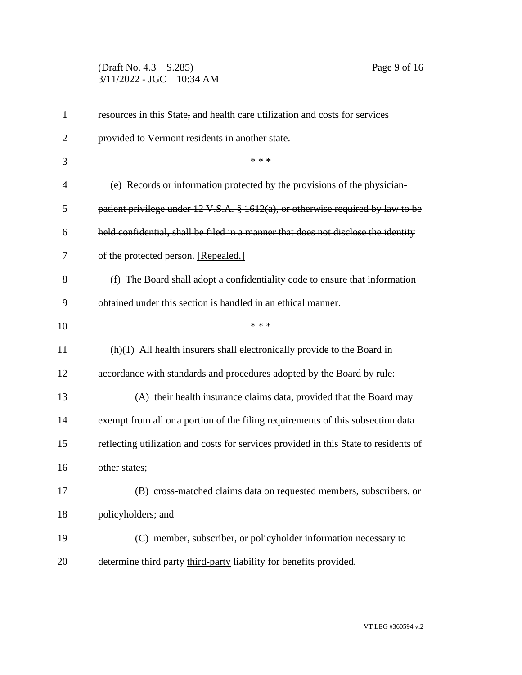# (Draft No. 4.3 – S.285) Page 9 of 16 3/11/2022 - JGC – 10:34 AM

| $\mathbf{1}$   | resources in this State, and health care utilization and costs for services                 |
|----------------|---------------------------------------------------------------------------------------------|
| 2              | provided to Vermont residents in another state.                                             |
| 3              | * * *                                                                                       |
| $\overline{4}$ | (e) Records or information protected by the provisions of the physician-                    |
| 5              | patient privilege under $12 \text{ V.S.A. }$ \$ 1612(a), or otherwise required by law to be |
| 6              | held confidential, shall be filed in a manner that does not disclose the identity           |
| 7              | of the protected person. [Repealed.]                                                        |
| 8              | (f) The Board shall adopt a confidentiality code to ensure that information                 |
| 9              | obtained under this section is handled in an ethical manner.                                |
| 10             | * * *                                                                                       |
| 11             | $(h)(1)$ All health insurers shall electronically provide to the Board in                   |
| 12             | accordance with standards and procedures adopted by the Board by rule:                      |
| 13             | (A) their health insurance claims data, provided that the Board may                         |
| 14             | exempt from all or a portion of the filing requirements of this subsection data             |
| 15             | reflecting utilization and costs for services provided in this State to residents of        |
| 16             | other states;                                                                               |
| 17             | (B) cross-matched claims data on requested members, subscribers, or                         |
| 18             | policyholders; and                                                                          |
| 19             | (C) member, subscriber, or policyholder information necessary to                            |
| 20             | determine third party third-party liability for benefits provided.                          |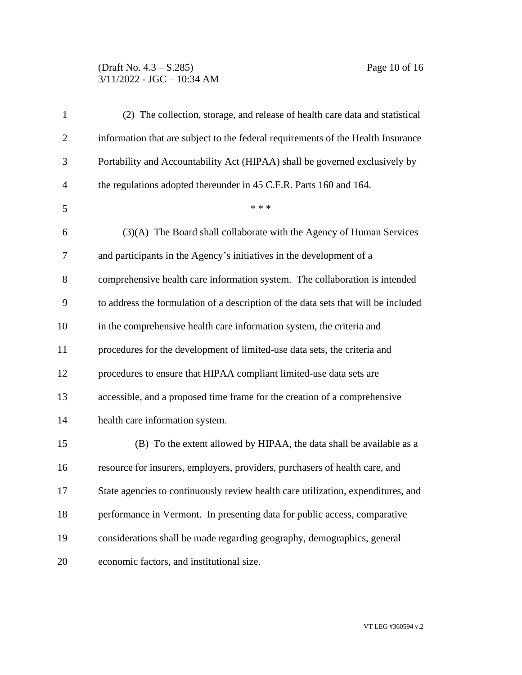## (Draft No. 4.3 – S.285) Page 10 of 16 3/11/2022 - JGC – 10:34 AM

| $\mathbf{1}$   | (2) The collection, storage, and release of health care data and statistical       |
|----------------|------------------------------------------------------------------------------------|
| $\overline{2}$ | information that are subject to the federal requirements of the Health Insurance   |
| 3              | Portability and Accountability Act (HIPAA) shall be governed exclusively by        |
| $\overline{4}$ | the regulations adopted thereunder in 45 C.F.R. Parts 160 and 164.                 |
| 5              | * * *                                                                              |
| 6              | (3)(A) The Board shall collaborate with the Agency of Human Services               |
| 7              | and participants in the Agency's initiatives in the development of a               |
| 8              | comprehensive health care information system. The collaboration is intended        |
| 9              | to address the formulation of a description of the data sets that will be included |
| 10             | in the comprehensive health care information system, the criteria and              |
| 11             | procedures for the development of limited-use data sets, the criteria and          |
| 12             | procedures to ensure that HIPAA compliant limited-use data sets are                |
| 13             | accessible, and a proposed time frame for the creation of a comprehensive          |
| 14             | health care information system.                                                    |
| 15             | (B) To the extent allowed by HIPAA, the data shall be available as a               |
| 16             | resource for insurers, employers, providers, purchasers of health care, and        |
| 17             | State agencies to continuously review health care utilization, expenditures, and   |
| 18             | performance in Vermont. In presenting data for public access, comparative          |
| 19             | considerations shall be made regarding geography, demographics, general            |
| 20             | economic factors, and institutional size.                                          |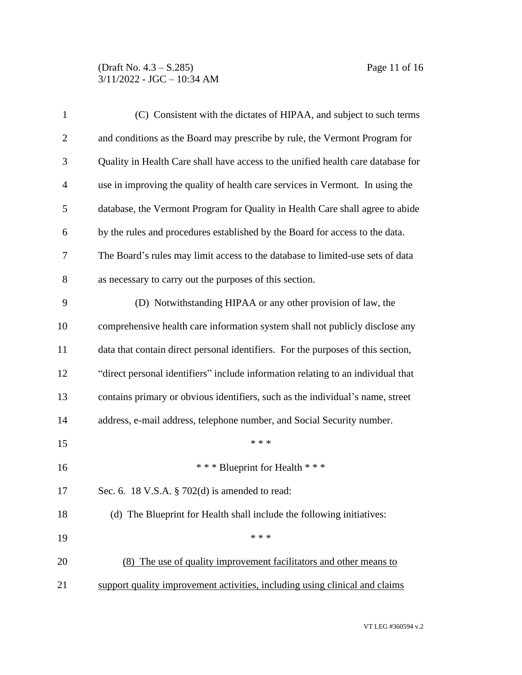### (Draft No. 4.3 – S.285) Page 11 of 16 3/11/2022 - JGC – 10:34 AM

| $\mathbf{1}$   | (C) Consistent with the dictates of HIPAA, and subject to such terms             |
|----------------|----------------------------------------------------------------------------------|
| $\overline{2}$ | and conditions as the Board may prescribe by rule, the Vermont Program for       |
| 3              | Quality in Health Care shall have access to the unified health care database for |
| $\overline{4}$ | use in improving the quality of health care services in Vermont. In using the    |
| 5              | database, the Vermont Program for Quality in Health Care shall agree to abide    |
| 6              | by the rules and procedures established by the Board for access to the data.     |
| 7              | The Board's rules may limit access to the database to limited-use sets of data   |
| 8              | as necessary to carry out the purposes of this section.                          |
| 9              | (D) Notwithstanding HIPAA or any other provision of law, the                     |
| 10             | comprehensive health care information system shall not publicly disclose any     |
| 11             | data that contain direct personal identifiers. For the purposes of this section, |
| 12             | "direct personal identifiers" include information relating to an individual that |
| 13             | contains primary or obvious identifiers, such as the individual's name, street   |
| 14             | address, e-mail address, telephone number, and Social Security number.           |
| 15             | * * *                                                                            |
| 16             | *** Blueprint for Health ***                                                     |
| 17             | Sec. 6. 18 V.S.A. § 702(d) is amended to read:                                   |
| 18             | (d) The Blueprint for Health shall include the following initiatives:            |
| 19             | * * *                                                                            |
| 20             | (8) The use of quality improvement facilitators and other means to               |
| 21             | support quality improvement activities, including using clinical and claims      |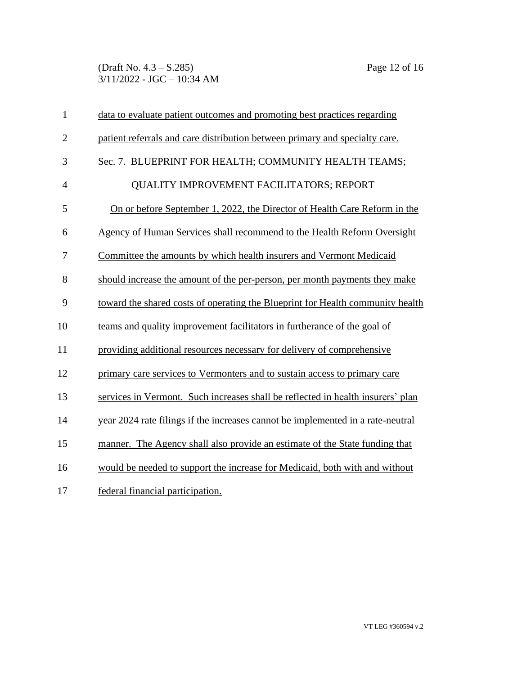(Draft No. 4.3 – S.285) Page 12 of 16 3/11/2022 - JGC – 10:34 AM

| $\mathbf{1}$   | data to evaluate patient outcomes and promoting best practices regarding        |
|----------------|---------------------------------------------------------------------------------|
| $\overline{2}$ | patient referrals and care distribution between primary and specialty care.     |
| 3              | Sec. 7. BLUEPRINT FOR HEALTH; COMMUNITY HEALTH TEAMS;                           |
| $\overline{4}$ | <b>QUALITY IMPROVEMENT FACILITATORS; REPORT</b>                                 |
| 5              | On or before September 1, 2022, the Director of Health Care Reform in the       |
| 6              | Agency of Human Services shall recommend to the Health Reform Oversight         |
| 7              | Committee the amounts by which health insurers and Vermont Medicaid             |
| 8              | should increase the amount of the per-person, per month payments they make      |
| 9              | toward the shared costs of operating the Blueprint for Health community health  |
| 10             | teams and quality improvement facilitators in furtherance of the goal of        |
| 11             | providing additional resources necessary for delivery of comprehensive          |
| 12             | primary care services to Vermonters and to sustain access to primary care       |
| 13             | services in Vermont. Such increases shall be reflected in health insurers' plan |
| 14             | year 2024 rate filings if the increases cannot be implemented in a rate-neutral |
| 15             | manner. The Agency shall also provide an estimate of the State funding that     |
| 16             | would be needed to support the increase for Medicaid, both with and without     |
| 17             | federal financial participation.                                                |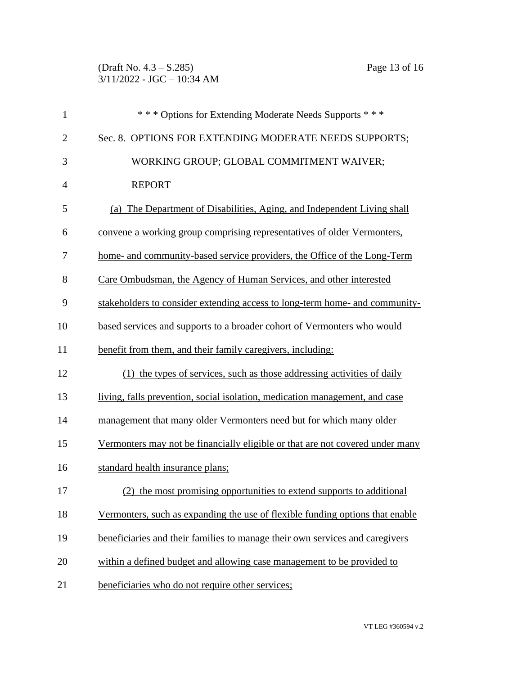(Draft No. 4.3 – S.285) Page 13 of 16 3/11/2022 - JGC – 10:34 AM

| $\mathbf{1}$   | *** Options for Extending Moderate Needs Supports ***                         |
|----------------|-------------------------------------------------------------------------------|
| $\overline{2}$ | Sec. 8. OPTIONS FOR EXTENDING MODERATE NEEDS SUPPORTS;                        |
| 3              | WORKING GROUP; GLOBAL COMMITMENT WAIVER;                                      |
| $\overline{4}$ | <b>REPORT</b>                                                                 |
| 5              | (a) The Department of Disabilities, Aging, and Independent Living shall       |
| 6              | convene a working group comprising representatives of older Vermonters,       |
| 7              | home- and community-based service providers, the Office of the Long-Term      |
| 8              | Care Ombudsman, the Agency of Human Services, and other interested            |
| 9              | stakeholders to consider extending access to long-term home- and community-   |
| 10             | based services and supports to a broader cohort of Vermonters who would       |
| 11             | benefit from them, and their family caregivers, including:                    |
| 12             | (1) the types of services, such as those addressing activities of daily       |
| 13             | living, falls prevention, social isolation, medication management, and case   |
| 14             | management that many older Vermonters need but for which many older           |
| 15             | Vermonters may not be financially eligible or that are not covered under many |
| 16             | standard health insurance plans;                                              |
| 17             | (2) the most promising opportunities to extend supports to additional         |
| 18             | Vermonters, such as expanding the use of flexible funding options that enable |
| 19             | beneficiaries and their families to manage their own services and caregivers  |
| 20             | within a defined budget and allowing case management to be provided to        |
| 21             | beneficiaries who do not require other services;                              |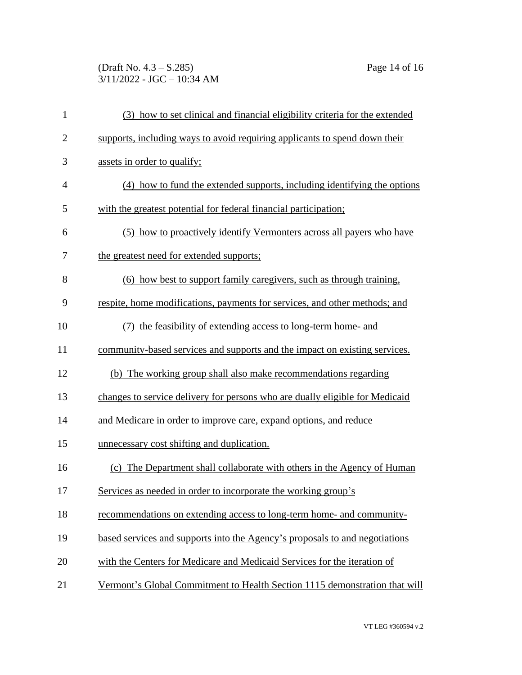## (Draft No. 4.3 – S.285) Page 14 of 16 3/11/2022 - JGC – 10:34 AM

| $\mathbf{1}$   | (3) how to set clinical and financial eligibility criteria for the extended  |
|----------------|------------------------------------------------------------------------------|
| $\mathbf{2}$   | supports, including ways to avoid requiring applicants to spend down their   |
| 3              | assets in order to qualify;                                                  |
| $\overline{4}$ | (4) how to fund the extended supports, including identifying the options     |
| 5              | with the greatest potential for federal financial participation;             |
| 6              | (5) how to proactively identify Vermonters across all payers who have        |
| 7              | the greatest need for extended supports;                                     |
| 8              | (6) how best to support family caregivers, such as through training,         |
| 9              | respite, home modifications, payments for services, and other methods; and   |
| 10             | the feasibility of extending access to long-term home- and<br>(7)            |
| 11             | community-based services and supports and the impact on existing services.   |
| 12             | (b) The working group shall also make recommendations regarding              |
| 13             | changes to service delivery for persons who are dually eligible for Medicaid |
| 14             | and Medicare in order to improve care, expand options, and reduce            |
| 15             | unnecessary cost shifting and duplication.                                   |
| 16             | (c) The Department shall collaborate with others in the Agency of Human      |
| 17             | Services as needed in order to incorporate the working group's               |
| 18             | recommendations on extending access to long-term home- and community-        |
| 19             | based services and supports into the Agency's proposals to and negotiations  |
| 20             | with the Centers for Medicare and Medicaid Services for the iteration of     |
| 21             | Vermont's Global Commitment to Health Section 1115 demonstration that will   |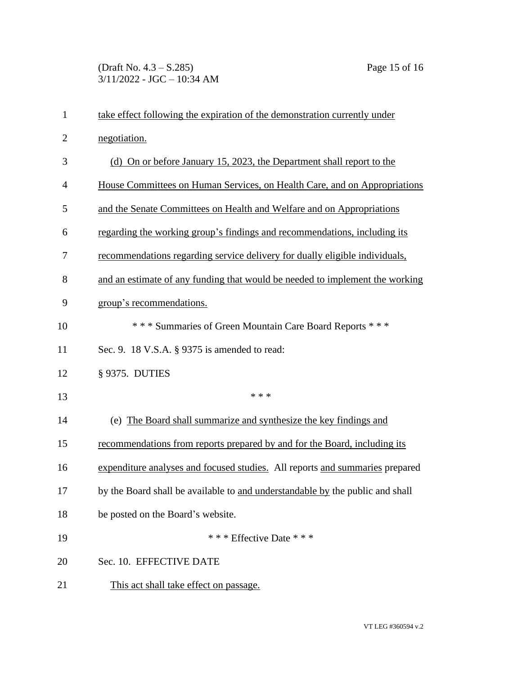| $\mathbf{1}$   | take effect following the expiration of the demonstration currently under     |
|----------------|-------------------------------------------------------------------------------|
| $\overline{2}$ | negotiation.                                                                  |
| 3              | (d) On or before January 15, 2023, the Department shall report to the         |
| $\overline{4}$ | House Committees on Human Services, on Health Care, and on Appropriations     |
| 5              | and the Senate Committees on Health and Welfare and on Appropriations         |
| 6              | regarding the working group's findings and recommendations, including its     |
| 7              | recommendations regarding service delivery for dually eligible individuals,   |
| 8              | and an estimate of any funding that would be needed to implement the working  |
| 9              | group's recommendations.                                                      |
| 10             | *** Summaries of Green Mountain Care Board Reports ***                        |
| 11             | Sec. 9. 18 V.S.A. § 9375 is amended to read:                                  |
| 12             | § 9375. DUTIES                                                                |
| 13             | * * *                                                                         |
| 14             | (e) The Board shall summarize and synthesize the key findings and             |
| 15             | recommendations from reports prepared by and for the Board, including its     |
| 16             | expenditure analyses and focused studies. All reports and summaries prepared  |
| 17             | by the Board shall be available to and understandable by the public and shall |
| 18             | be posted on the Board's website.                                             |
| 19             | * * * Effective Date * * *                                                    |
| 20             | Sec. 10. EFFECTIVE DATE                                                       |
| 21             | This act shall take effect on passage.                                        |